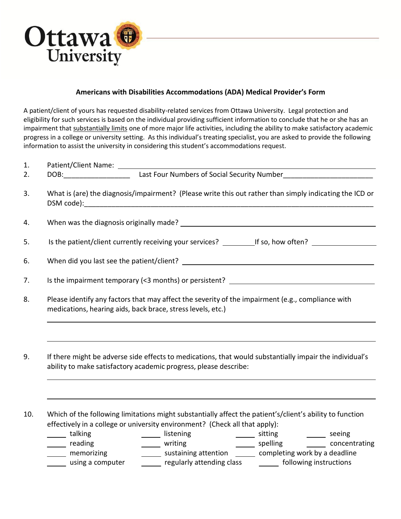

## **Americans with Disabilities Accommodations (ADA) Medical Provider's Form**

A patient/client of yours has requested disability-related services from Ottawa University. Legal protection and eligibility for such services is based on the individual providing sufficient information to conclude that he or she has an impairment that substantially limits one of more major life activities, including the ability to make satisfactory academic progress in a college or university setting. As this individual's treating specialist, you are asked to provide the following information to assist the university in considering this student's accommodations request.

| 1.                                                                                                                                                                                |                                                                                                                                                                                                                                                                                                                                                                                                                                                                                                                                                 |  |  |  |  |
|-----------------------------------------------------------------------------------------------------------------------------------------------------------------------------------|-------------------------------------------------------------------------------------------------------------------------------------------------------------------------------------------------------------------------------------------------------------------------------------------------------------------------------------------------------------------------------------------------------------------------------------------------------------------------------------------------------------------------------------------------|--|--|--|--|
| 2.                                                                                                                                                                                |                                                                                                                                                                                                                                                                                                                                                                                                                                                                                                                                                 |  |  |  |  |
| 3.                                                                                                                                                                                | What is (are) the diagnosis/impairment? (Please write this out rather than simply indicating the ICD or                                                                                                                                                                                                                                                                                                                                                                                                                                         |  |  |  |  |
| 4.                                                                                                                                                                                |                                                                                                                                                                                                                                                                                                                                                                                                                                                                                                                                                 |  |  |  |  |
| 5.                                                                                                                                                                                |                                                                                                                                                                                                                                                                                                                                                                                                                                                                                                                                                 |  |  |  |  |
| 6.                                                                                                                                                                                |                                                                                                                                                                                                                                                                                                                                                                                                                                                                                                                                                 |  |  |  |  |
| 7.                                                                                                                                                                                |                                                                                                                                                                                                                                                                                                                                                                                                                                                                                                                                                 |  |  |  |  |
| 8.                                                                                                                                                                                | Please identify any factors that may affect the severity of the impairment (e.g., compliance with<br>medications, hearing aids, back brace, stress levels, etc.)                                                                                                                                                                                                                                                                                                                                                                                |  |  |  |  |
| If there might be adverse side effects to medications, that would substantially impair the individual's<br>9.<br>ability to make satisfactory academic progress, please describe: |                                                                                                                                                                                                                                                                                                                                                                                                                                                                                                                                                 |  |  |  |  |
| 10.                                                                                                                                                                               | Which of the following limitations might substantially affect the patient's/client's ability to function<br>effectively in a college or university environment? (Check all that apply):<br>_____ talking<br>______ listening ________ sitting _______ seeing _______ veriting _______ seeing ______ concentrating<br>Lalking<br>meading<br>memorizing<br>memorizing<br>_____ reading<br>______ sustaining attention ______ completing work by a deadline<br>regularly attending class [100] [100] regularly attending class<br>using a computer |  |  |  |  |